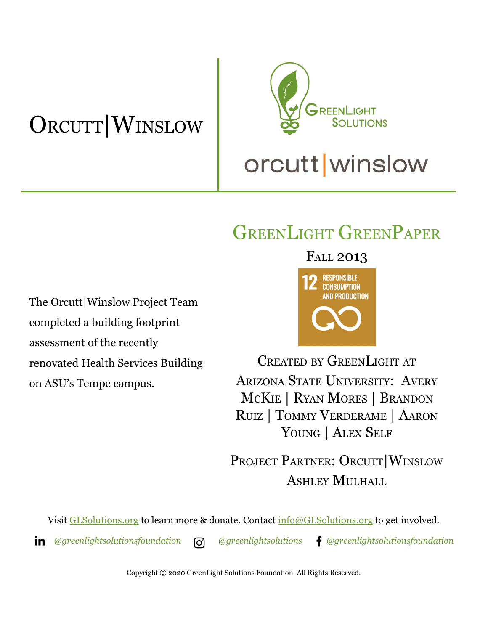# ORCUTT|WINSLOW



# GREENLIGHT GREENPAPER

The Orcutt|Winslow Project Team completed a building footprint assessment of the recently renovated Health Services Building on ASU's Tempe campus.

FALL 2013



CREATED BY GREENLIGHT AT ARIZONA STATE UNIVERSITY: AVERY MCKIE | RYAN MORES | BRANDON RUIZ | TOMMY VERDERAME | AARON YOUNG | ALEX SELF

PROJECT PARTNER: ORCUTT|WINSLOW ASHLEY MULHALL

Visit [GLSolutions.org](https://www.glsolutions.org/) to learn more & donate. Contact  $\frac{info@GLSolutions.org}{info@GLSolutions.org}$  to get involved.

*[@greenlightsolutionsfoundation](https://www.linkedin.com/company/10571635) [@greenlightsolutions](https://www.instagram.com/greenlightsolutions/) [@greenlightsolutionsfoundation](https://www.facebook.com/GreenLightSolutionsFoundation/)*

Copyright © 2020 GreenLight Solutions Foundation. All Rights Reserved.